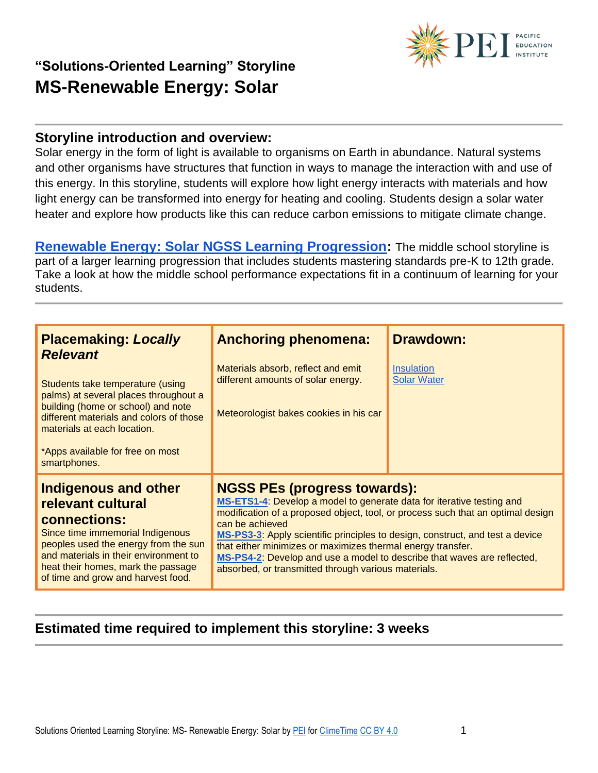

#### **Storyline introduction and overview:**

Solar energy in the form of light is available to organisms on Earth in abundance. Natural systems and other organisms have structures that function in ways to manage the interaction with and use of this energy. In this storyline, students will explore how light energy interacts with materials and how light energy can be transformed into energy for heating and cooling. Students design a solar water heater and explore how products like this can reduce carbon emissions to mitigate climate change.

**[Renewable Energy: Solar NGSS Learning Progression:](https://pacificeductioninstitute.sharepoint.com/:x:/s/Program/EY60DFvGUuZJjikn2P8aFigBva60ASyBZ8MJ7JF9vheITA?e=AcNZbp)** The middle school storyline is part of a larger learning progression that includes students mastering standards pre-K to 12th grade. Take a look at how the middle school performance expectations fit in a continuum of learning for your students.

| <b>Placemaking: Locally</b><br><b>Relevant</b><br>Students take temperature (using<br>palms) at several places throughout a<br>building (home or school) and note<br>different materials and colors of those<br>materials at each location.<br>*Apps available for free on most<br>smartphones. | <b>Anchoring phenomena:</b><br>Materials absorb, reflect and emit<br>different amounts of solar energy.<br>Meteorologist bakes cookies in his car                                                                                                                                                                                                                                                                                                                                                    | <b>Drawdown:</b><br><b>Insulation</b><br><b>Solar Water</b> |
|-------------------------------------------------------------------------------------------------------------------------------------------------------------------------------------------------------------------------------------------------------------------------------------------------|------------------------------------------------------------------------------------------------------------------------------------------------------------------------------------------------------------------------------------------------------------------------------------------------------------------------------------------------------------------------------------------------------------------------------------------------------------------------------------------------------|-------------------------------------------------------------|
| <b>Indigenous and other</b><br>relevant cultural<br>connections:<br>Since time immemorial Indigenous<br>peoples used the energy from the sun<br>and materials in their environment to<br>heat their homes, mark the passage<br>of time and grow and harvest food.                               | <b>NGSS PEs (progress towards):</b><br>MS-ETS1-4: Develop a model to generate data for iterative testing and<br>modification of a proposed object, tool, or process such that an optimal design<br>can be achieved<br>MS-PS3-3: Apply scientific principles to design, construct, and test a device<br>that either minimizes or maximizes thermal energy transfer.<br>MS-PS4-2: Develop and use a model to describe that waves are reflected,<br>absorbed, or transmitted through various materials. |                                                             |

### **Estimated time required to implement this storyline: 3 weeks**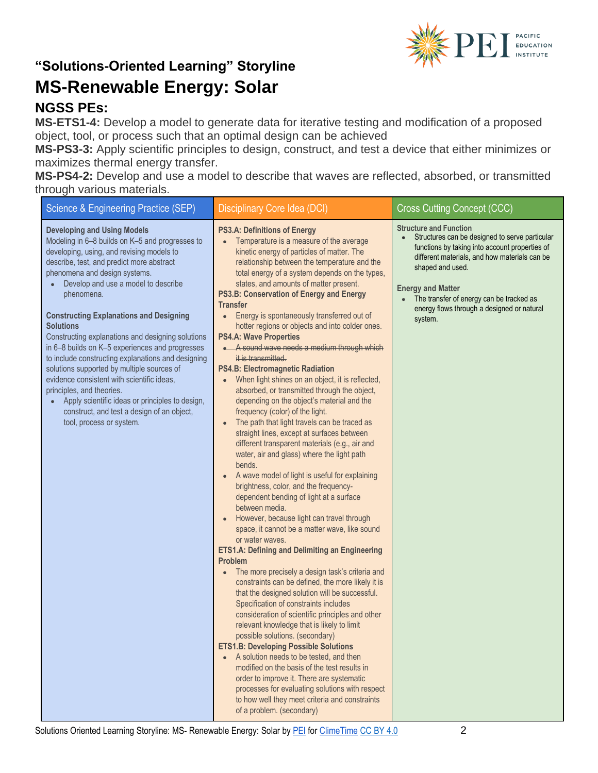

### **NGSS PEs:**

**MS-ETS1-4:** Develop a model to generate data for iterative testing and modification of a proposed object, tool, or process such that an optimal design can be achieved

**MS-PS3-3:** Apply scientific principles to design, construct, and test a device that either minimizes or maximizes thermal energy transfer.

**MS-PS4-2:** Develop and use a model to describe that waves are reflected, absorbed, or transmitted through various materials.

| <b>Science &amp; Engineering Practice (SEP)</b>                                                                                                                                                                                                                                                                                                                                                                                                                                                                                                                                                                                                                                                                                                                              | Disciplinary Core Idea (DCI)                                                                                                                                                                                                                                                                                                                                                                                                                                                                                                                                                                                                                                                                                                                                                                                                                                                                                                                                                                                                                                                                                                                                                                                                                                                                                                                                                                                                                                                                                                                                                                                                                                                                                                                                                                                                                                                                                                                                                                                                      | <b>Cross Cutting Concept (CCC)</b>                                                                                                                                                                                                                                                                                                      |
|------------------------------------------------------------------------------------------------------------------------------------------------------------------------------------------------------------------------------------------------------------------------------------------------------------------------------------------------------------------------------------------------------------------------------------------------------------------------------------------------------------------------------------------------------------------------------------------------------------------------------------------------------------------------------------------------------------------------------------------------------------------------------|-----------------------------------------------------------------------------------------------------------------------------------------------------------------------------------------------------------------------------------------------------------------------------------------------------------------------------------------------------------------------------------------------------------------------------------------------------------------------------------------------------------------------------------------------------------------------------------------------------------------------------------------------------------------------------------------------------------------------------------------------------------------------------------------------------------------------------------------------------------------------------------------------------------------------------------------------------------------------------------------------------------------------------------------------------------------------------------------------------------------------------------------------------------------------------------------------------------------------------------------------------------------------------------------------------------------------------------------------------------------------------------------------------------------------------------------------------------------------------------------------------------------------------------------------------------------------------------------------------------------------------------------------------------------------------------------------------------------------------------------------------------------------------------------------------------------------------------------------------------------------------------------------------------------------------------------------------------------------------------------------------------------------------------|-----------------------------------------------------------------------------------------------------------------------------------------------------------------------------------------------------------------------------------------------------------------------------------------------------------------------------------------|
| <b>Developing and Using Models</b><br>Modeling in 6-8 builds on K-5 and progresses to<br>developing, using, and revising models to<br>describe, test, and predict more abstract<br>phenomena and design systems.<br>Develop and use a model to describe<br>phenomena.<br><b>Constructing Explanations and Designing</b><br><b>Solutions</b><br>Constructing explanations and designing solutions<br>in 6-8 builds on K-5 experiences and progresses<br>to include constructing explanations and designing<br>solutions supported by multiple sources of<br>evidence consistent with scientific ideas,<br>principles, and theories.<br>Apply scientific ideas or principles to design,<br>$\bullet$<br>construct, and test a design of an object,<br>tool, process or system. | <b>PS3.A: Definitions of Energy</b><br>Temperature is a measure of the average<br>$\bullet$<br>kinetic energy of particles of matter. The<br>relationship between the temperature and the<br>total energy of a system depends on the types,<br>states, and amounts of matter present.<br>PS3.B: Conservation of Energy and Energy<br><b>Transfer</b><br>Energy is spontaneously transferred out of<br>hotter regions or objects and into colder ones.<br><b>PS4.A: Wave Properties</b><br>• A sound wave needs a medium through which<br>it is transmitted.<br><b>PS4.B: Electromagnetic Radiation</b><br>When light shines on an object, it is reflected,<br>absorbed, or transmitted through the object,<br>depending on the object's material and the<br>frequency (color) of the light.<br>The path that light travels can be traced as<br>straight lines, except at surfaces between<br>different transparent materials (e.g., air and<br>water, air and glass) where the light path<br>bends.<br>A wave model of light is useful for explaining<br>brightness, color, and the frequency-<br>dependent bending of light at a surface<br>between media.<br>However, because light can travel through<br>space, it cannot be a matter wave, like sound<br>or water waves.<br><b>ETS1.A: Defining and Delimiting an Engineering</b><br>Problem<br>The more precisely a design task's criteria and<br>$\bullet$<br>constraints can be defined, the more likely it is<br>that the designed solution will be successful.<br>Specification of constraints includes<br>consideration of scientific principles and other<br>relevant knowledge that is likely to limit<br>possible solutions. (secondary)<br><b>ETS1.B: Developing Possible Solutions</b><br>• A solution needs to be tested, and then<br>modified on the basis of the test results in<br>order to improve it. There are systematic<br>processes for evaluating solutions with respect<br>to how well they meet criteria and constraints<br>of a problem. (secondary) | <b>Structure and Function</b><br>Structures can be designed to serve particular<br>functions by taking into account properties of<br>different materials, and how materials can be<br>shaped and used.<br><b>Energy and Matter</b><br>The transfer of energy can be tracked as<br>energy flows through a designed or natural<br>system. |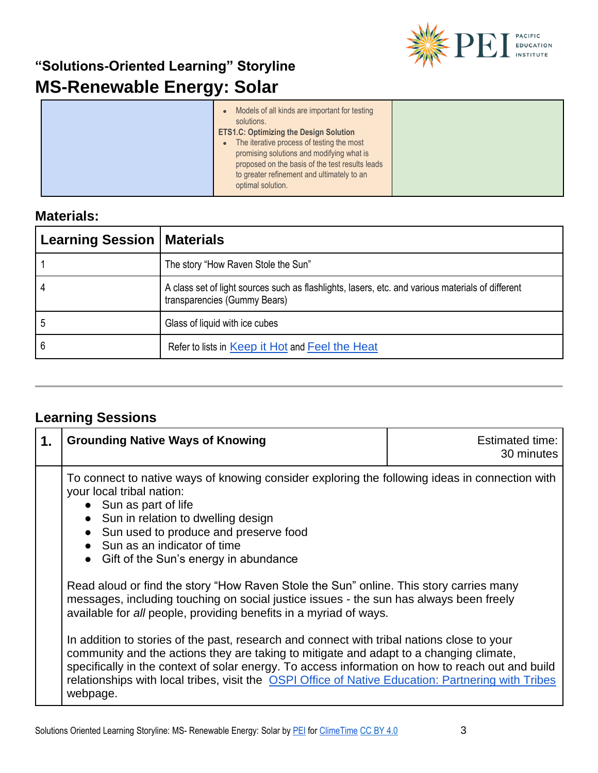

|  | Models of all kinds are important for testing<br>solutions.<br><b>ETS1.C: Optimizing the Design Solution</b><br>The iterative process of testing the most<br>$\bullet$<br>promising solutions and modifying what is<br>proposed on the basis of the test results leads<br>to greater refinement and ultimately to an |  |
|--|----------------------------------------------------------------------------------------------------------------------------------------------------------------------------------------------------------------------------------------------------------------------------------------------------------------------|--|
|  | optimal solution.                                                                                                                                                                                                                                                                                                    |  |

### **Materials:**

| <b>Learning Session   Materials</b> |                                                                                                                                   |
|-------------------------------------|-----------------------------------------------------------------------------------------------------------------------------------|
|                                     | The story "How Raven Stole the Sun"                                                                                               |
|                                     | A class set of light sources such as flashlights, lasers, etc. and various materials of different<br>transparencies (Gummy Bears) |
| ა                                   | Glass of liquid with ice cubes                                                                                                    |
| 6                                   | Refer to lists in Keep it Hot and Feel the Heat                                                                                   |

### **Learning Sessions**

| 1. | <b>Grounding Native Ways of Knowing</b>                                                                                                                                                                                                                                                                                                                                                                    | <b>Estimated time:</b><br>30 minutes |
|----|------------------------------------------------------------------------------------------------------------------------------------------------------------------------------------------------------------------------------------------------------------------------------------------------------------------------------------------------------------------------------------------------------------|--------------------------------------|
|    | To connect to native ways of knowing consider exploring the following ideas in connection with<br>your local tribal nation:<br>• Sun as part of life<br>• Sun in relation to dwelling design<br>Sun used to produce and preserve food<br>$\bullet$<br>Sun as an indicator of time<br>• Gift of the Sun's energy in abundance                                                                               |                                      |
|    | Read aloud or find the story "How Raven Stole the Sun" online. This story carries many<br>messages, including touching on social justice issues - the sun has always been freely<br>available for all people, providing benefits in a myriad of ways.                                                                                                                                                      |                                      |
|    | In addition to stories of the past, research and connect with tribal nations close to your<br>community and the actions they are taking to mitigate and adapt to a changing climate,<br>specifically in the context of solar energy. To access information on how to reach out and build<br>relationships with local tribes, visit the OSPI Office of Native Education: Partnering with Tribes<br>webpage. |                                      |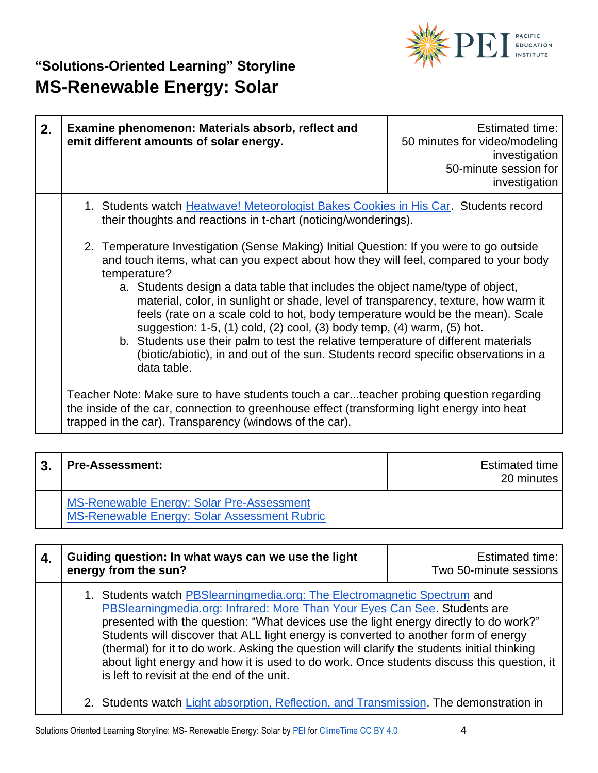

| 2. | Examine phenomenon: Materials absorb, reflect and<br>emit different amounts of solar energy.                                                                                                                                                                                                                                                                                                                                                                                                                                                                                                                                                                                                                                   | <b>Estimated time:</b><br>50 minutes for video/modeling<br>investigation<br>50-minute session for<br>investigation |
|----|--------------------------------------------------------------------------------------------------------------------------------------------------------------------------------------------------------------------------------------------------------------------------------------------------------------------------------------------------------------------------------------------------------------------------------------------------------------------------------------------------------------------------------------------------------------------------------------------------------------------------------------------------------------------------------------------------------------------------------|--------------------------------------------------------------------------------------------------------------------|
|    | 1. Students watch Heatwave! Meteorologist Bakes Cookies in His Car. Students record<br>their thoughts and reactions in t-chart (noticing/wonderings).                                                                                                                                                                                                                                                                                                                                                                                                                                                                                                                                                                          |                                                                                                                    |
|    | 2. Temperature Investigation (Sense Making) Initial Question: If you were to go outside<br>and touch items, what can you expect about how they will feel, compared to your body<br>temperature?<br>a. Students design a data table that includes the object name/type of object,<br>material, color, in sunlight or shade, level of transparency, texture, how warm it<br>feels (rate on a scale cold to hot, body temperature would be the mean). Scale<br>suggestion: 1-5, (1) cold, (2) cool, (3) body temp, (4) warm, (5) hot.<br>b. Students use their palm to test the relative temperature of different materials<br>(biotic/abiotic), in and out of the sun. Students record specific observations in a<br>data table. |                                                                                                                    |
|    | Teacher Note: Make sure to have students touch a carteacher probing question regarding<br>the inside of the car, connection to greenhouse effect (transforming light energy into heat<br>trapped in the car). Transparency (windows of the car).                                                                                                                                                                                                                                                                                                                                                                                                                                                                               |                                                                                                                    |

| 3. | <b>Pre-Assessment:</b>                                                                    | Estimated time<br>20 minutes |
|----|-------------------------------------------------------------------------------------------|------------------------------|
|    | MS-Renewable Energy: Solar Pre-Assessment<br>MS-Renewable Energy: Solar Assessment Rubric |                              |

| Guiding question: In what ways can we use the light<br>energy from the sun?                                                                                                                                                                                                                                                                                                                                                                                                                                                                                                            | Estimated time:<br>Two 50-minute sessions |
|----------------------------------------------------------------------------------------------------------------------------------------------------------------------------------------------------------------------------------------------------------------------------------------------------------------------------------------------------------------------------------------------------------------------------------------------------------------------------------------------------------------------------------------------------------------------------------------|-------------------------------------------|
| 1. Students watch <b>PBSlearningmedia.org:</b> The Electromagnetic Spectrum and<br>PBSlearningmedia.org: Infrared: More Than Your Eyes Can See. Students are<br>presented with the question: "What devices use the light energy directly to do work?"<br>Students will discover that ALL light energy is converted to another form of energy<br>(thermal) for it to do work. Asking the question will clarify the students initial thinking<br>about light energy and how it is used to do work. Once students discuss this question, it<br>is left to revisit at the end of the unit. |                                           |
| 2. Students watch Light absorption, Reflection, and Transmission. The demonstration in                                                                                                                                                                                                                                                                                                                                                                                                                                                                                                 |                                           |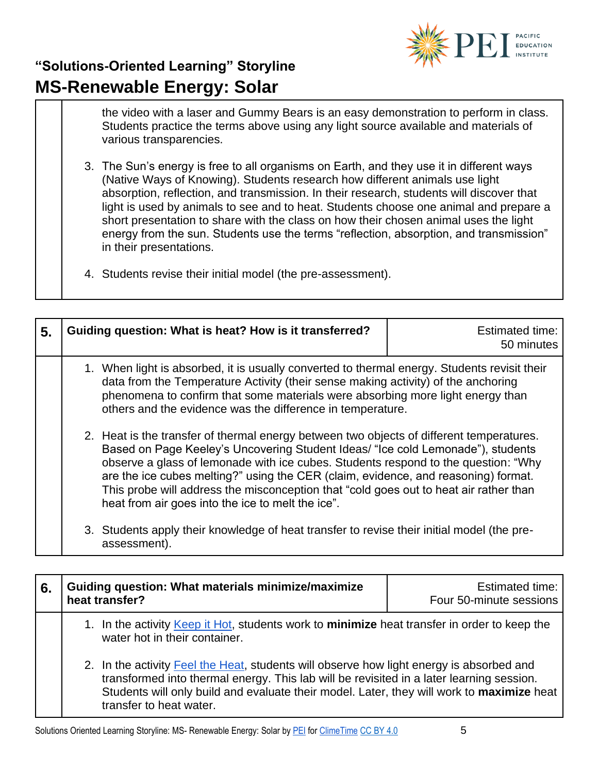

the video with a laser and Gummy Bears is an easy demonstration to perform in class. Students practice the terms above using any light source available and materials of various transparencies.

- 3. The Sun's energy is free to all organisms on Earth, and they use it in different ways (Native Ways of Knowing). Students research how different animals use light absorption, reflection, and transmission. In their research, students will discover that light is used by animals to see and to heat. Students choose one animal and prepare a short presentation to share with the class on how their chosen animal uses the light energy from the sun. Students use the terms "reflection, absorption, and transmission" in their presentations.
- 4. Students revise their initial model (the pre-assessment).

| 5. | Guiding question: What is heat? How is it transferred?                                                                                                                                                                                                                                                                                                                                                                                                                                                | <b>Estimated time:</b><br>50 minutes |
|----|-------------------------------------------------------------------------------------------------------------------------------------------------------------------------------------------------------------------------------------------------------------------------------------------------------------------------------------------------------------------------------------------------------------------------------------------------------------------------------------------------------|--------------------------------------|
|    | 1. When light is absorbed, it is usually converted to thermal energy. Students revisit their<br>data from the Temperature Activity (their sense making activity) of the anchoring<br>phenomena to confirm that some materials were absorbing more light energy than<br>others and the evidence was the difference in temperature.                                                                                                                                                                     |                                      |
|    | 2. Heat is the transfer of thermal energy between two objects of different temperatures.<br>Based on Page Keeley's Uncovering Student Ideas/ "Ice cold Lemonade"), students<br>observe a glass of lemonade with ice cubes. Students respond to the question: "Why<br>are the ice cubes melting?" using the CER (claim, evidence, and reasoning) format.<br>This probe will address the misconception that "cold goes out to heat air rather than<br>heat from air goes into the ice to melt the ice". |                                      |
|    | 3. Students apply their knowledge of heat transfer to revise their initial model (the pre-<br>assessment).                                                                                                                                                                                                                                                                                                                                                                                            |                                      |

| 6. | Guiding question: What materials minimize/maximize<br>heat transfer?                                                                                                                                                                                                                                         | <b>Estimated time:</b><br>Four 50-minute sessions |
|----|--------------------------------------------------------------------------------------------------------------------------------------------------------------------------------------------------------------------------------------------------------------------------------------------------------------|---------------------------------------------------|
|    | 1. In the activity Keep it Hot, students work to minimize heat transfer in order to keep the<br>water hot in their container.                                                                                                                                                                                |                                                   |
|    | 2. In the activity Feel the Heat, students will observe how light energy is absorbed and<br>transformed into thermal energy. This lab will be revisited in a later learning session.<br>Students will only build and evaluate their model. Later, they will work to maximize heat<br>transfer to heat water. |                                                   |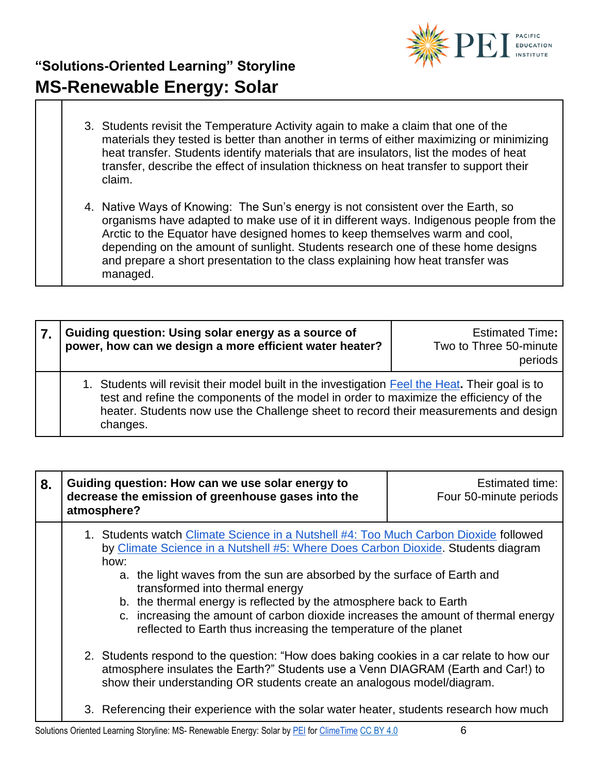

- 3. Students revisit the Temperature Activity again to make a claim that one of the materials they tested is better than another in terms of either maximizing or minimizing heat transfer. Students identify materials that are insulators, list the modes of heat transfer, describe the effect of insulation thickness on heat transfer to support their claim.
- 4. Native Ways of Knowing: The Sun's energy is not consistent over the Earth, so organisms have adapted to make use of it in different ways. Indigenous people from the Arctic to the Equator have designed homes to keep themselves warm and cool, depending on the amount of sunlight. Students research one of these home designs and prepare a short presentation to the class explaining how heat transfer was managed.

| Guiding question: Using solar energy as a source of<br>power, how can we design a more efficient water heater?                                                                                                                                                                                | <b>Estimated Time:</b><br>Two to Three 50-minute<br>periods |
|-----------------------------------------------------------------------------------------------------------------------------------------------------------------------------------------------------------------------------------------------------------------------------------------------|-------------------------------------------------------------|
| 1. Students will revisit their model built in the investigation Feel the Heat. Their goal is to<br>test and refine the components of the model in order to maximize the efficiency of the<br>heater. Students now use the Challenge sheet to record their measurements and design<br>changes. |                                                             |

| 8. | Guiding question: How can we use solar energy to<br>decrease the emission of greenhouse gases into the<br>atmosphere?                                                                                                                                                                                                                                                                                                                                                                                                                                                                                                                                                                                                                                                                                                                                                                   | Estimated time:<br>Four 50-minute periods |
|----|-----------------------------------------------------------------------------------------------------------------------------------------------------------------------------------------------------------------------------------------------------------------------------------------------------------------------------------------------------------------------------------------------------------------------------------------------------------------------------------------------------------------------------------------------------------------------------------------------------------------------------------------------------------------------------------------------------------------------------------------------------------------------------------------------------------------------------------------------------------------------------------------|-------------------------------------------|
|    | 1. Students watch Climate Science in a Nutshell #4: Too Much Carbon Dioxide followed<br>by Climate Science in a Nutshell #5: Where Does Carbon Dioxide. Students diagram<br>how:<br>the light waves from the sun are absorbed by the surface of Earth and<br>a.<br>transformed into thermal energy<br>b. the thermal energy is reflected by the atmosphere back to Earth<br>c. increasing the amount of carbon dioxide increases the amount of thermal energy<br>reflected to Earth thus increasing the temperature of the planet<br>2. Students respond to the question: "How does baking cookies in a car relate to how our<br>atmosphere insulates the Earth?" Students use a Venn DIAGRAM (Earth and Car!) to<br>show their understanding OR students create an analogous model/diagram.<br>3. Referencing their experience with the solar water heater, students research how much |                                           |